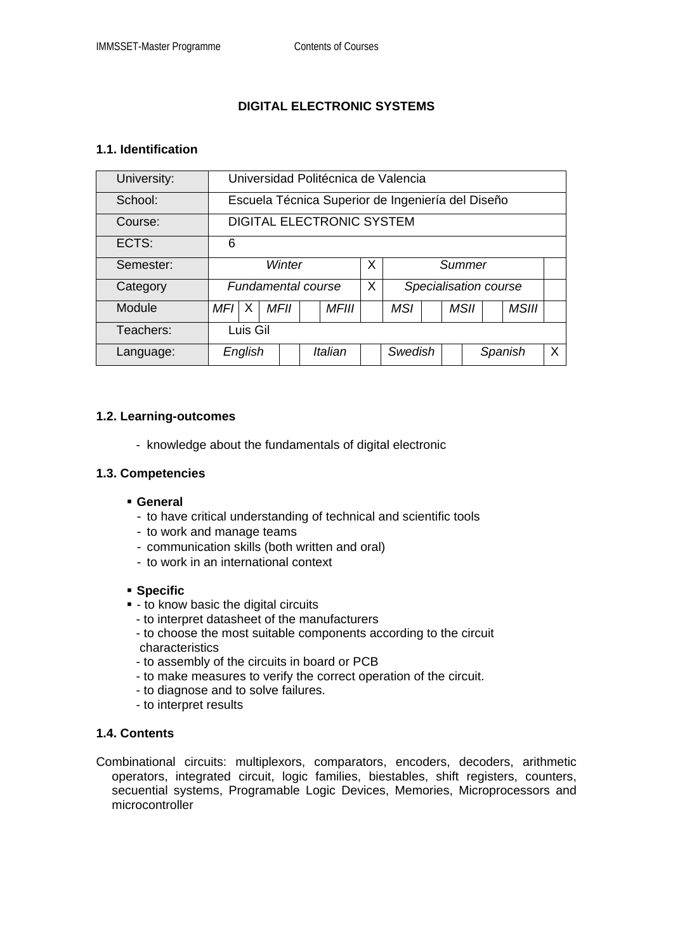# **DIGITAL ELECTRONIC SYSTEMS**

## **1.1. Identification**

| University: | Universidad Politécnica de Valencia               |   |             |         |              |   |                       |  |  |             |  |              |   |
|-------------|---------------------------------------------------|---|-------------|---------|--------------|---|-----------------------|--|--|-------------|--|--------------|---|
| School:     | Escuela Técnica Superior de Ingeniería del Diseño |   |             |         |              |   |                       |  |  |             |  |              |   |
| Course:     | <b>DIGITAL ELECTRONIC SYSTEM</b>                  |   |             |         |              |   |                       |  |  |             |  |              |   |
| ECTS:       | 6                                                 |   |             |         |              |   |                       |  |  |             |  |              |   |
| Semester:   | Winter                                            |   |             |         |              | X | Summer                |  |  |             |  |              |   |
| Category    | <b>Fundamental course</b>                         |   |             |         |              | X | Specialisation course |  |  |             |  |              |   |
| Module      | MFI I                                             | X | <b>MFII</b> |         | <b>MFIII</b> |   | <b>MSI</b>            |  |  | <b>MSII</b> |  | <b>MSIII</b> |   |
| Teachers:   | Luis Gil                                          |   |             |         |              |   |                       |  |  |             |  |              |   |
| Language:   | English                                           |   |             | Italian |              |   | Swedish               |  |  | Spanish     |  |              | X |

### **1.2. Learning-outcomes**

- knowledge about the fundamentals of digital electronic

### **1.3. Competencies**

- **General** 
	- to have critical understanding of technical and scientific tools
	- to work and manage teams
	- communication skills (both written and oral)
	- to work in an international context

#### **Specific**

- $-$  to know basic the digital circuits
	- to interpret datasheet of the manufacturers
	- to choose the most suitable components according to the circuit characteristics
	- to assembly of the circuits in board or PCB
	- to make measures to verify the correct operation of the circuit.
	- to diagnose and to solve failures.
	- to interpret results

## **1.4. Contents**

Combinational circuits: multiplexors, comparators, encoders, decoders, arithmetic operators, integrated circuit, logic families, biestables, shift registers, counters, secuential systems, Programable Logic Devices, Memories, Microprocessors and microcontroller